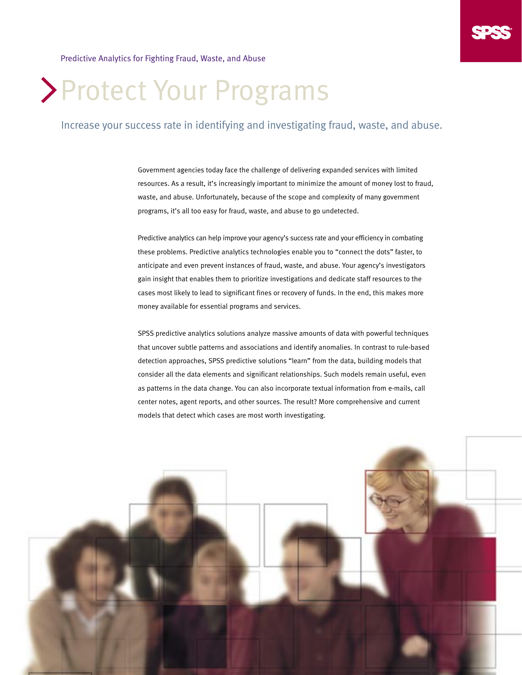Predictive Analytics for Fighting Fraud, Waste, and Abuse

# Protect Your Programs

### Increase your success rate in identifying and investigating fraud, waste, and abuse.

Government agencies today face the challenge of delivering expanded services with limited resources. As a result, it's increasingly important to minimize the amount of money lost to fraud, waste, and abuse. Unfortunately, because of the scope and complexity of many government programs, it's all too easy for fraud, waste, and abuse to go undetected.

Predictive analytics can help improve your agency's success rate and your efficiency in combating these problems. Predictive analytics technologies enable you to "connect the dots" faster, to anticipate and even prevent instances of fraud, waste, and abuse. Your agency's investigators gain insight that enables them to prioritize investigations and dedicate staff resources to the cases most likely to lead to significant fines or recovery of funds. In the end, this makes more money available for essential programs and services.

SPSS predictive analytics solutions analyze massive amounts of data with powerful techniques that uncover subtle patterns and associations and identify anomalies. In contrast to rule-based detection approaches, SPSS predictive solutions "learn" from the data, building models that consider all the data elements and significant relationships. Such models remain useful, even as patterns in the data change. You can also incorporate textual information from e-mails, call center notes, agent reports, and other sources. The result? More comprehensive and current models that detect which cases are most worth investigating.

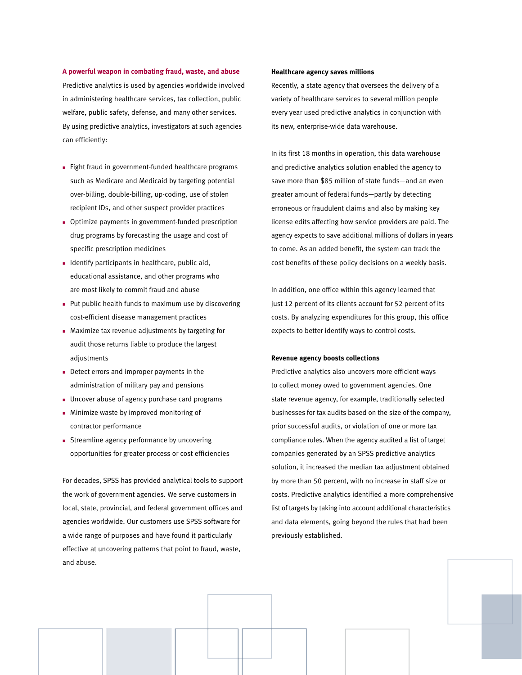**A powerful weapon in combating fraud, waste, and abuse** Predictive analytics is used by agencies worldwide involved in administering healthcare services, tax collection, public welfare, public safety, defense, and many other services. By using predictive analytics, investigators at such agencies can efficiently:

- Fight fraud in government-funded healthcare programs such as Medicare and Medicaid by targeting potential over-billing, double-billing, up-coding, use of stolen recipient IDs, and other suspect provider practices
- **Detimize payments in government-funded prescription** drug programs by forecasting the usage and cost of specific prescription medicines
- **n** Identify participants in healthcare, public aid, educational assistance, and other programs who are most likely to commit fraud and abuse
- n Put public health funds to maximum use by discovering cost-efficient disease management practices
- $\blacksquare$  Maximize tax revenue adjustments by targeting for audit those returns liable to produce the largest adiustments
- $\blacksquare$  Detect errors and improper payments in the administration of military pay and pensions
- **DI Uncover abuse of agency purchase card programs**
- **n** Minimize waste by improved monitoring of contractor performance
- **EXTERMING A Streamline agency performance by uncovering** opportunities for greater process or cost efficiencies

For decades, SPSS has provided analytical tools to support the work of government agencies. We serve customers in local, state, provincial, and federal government offices and agencies worldwide. Our customers use SPSS software for a wide range of purposes and have found it particularly effective at uncovering patterns that point to fraud, waste, and abuse.

#### **Healthcare agency saves millions**

Recently, a state agency that oversees the delivery of a variety of healthcare services to several million people every year used predictive analytics in conjunction with its new, enterprise-wide data warehouse.

In its first 18 months in operation, this data warehouse and predictive analytics solution enabled the agency to save more than \$85 million of state funds—and an even greater amount of federal funds—partly by detecting erroneous or fraudulent claims and also by making key license edits affecting how service providers are paid. The agency expects to save additional millions of dollars in years to come. As an added benefit, the system can track the cost benefits of these policy decisions on a weekly basis.

In addition, one office within this agency learned that just 12 percent of its clients account for 52 percent of its costs. By analyzing expenditures for this group, this office expects to better identify ways to control costs.

#### **Revenue agency boosts collections**

Predictive analytics also uncovers more efficient ways to collect money owed to government agencies. One state revenue agency, for example, traditionally selected businesses for tax audits based on the size of the company, prior successful audits, or violation of one or more tax compliance rules. When the agency audited a list of target companies generated by an SPSS predictive analytics solution, it increased the median tax adjustment obtained by more than 50 percent, with no increase in staff size or costs. Predictive analytics identified a more comprehensive list of targets by taking into account additional characteristics and data elements, going beyond the rules that had been previously established.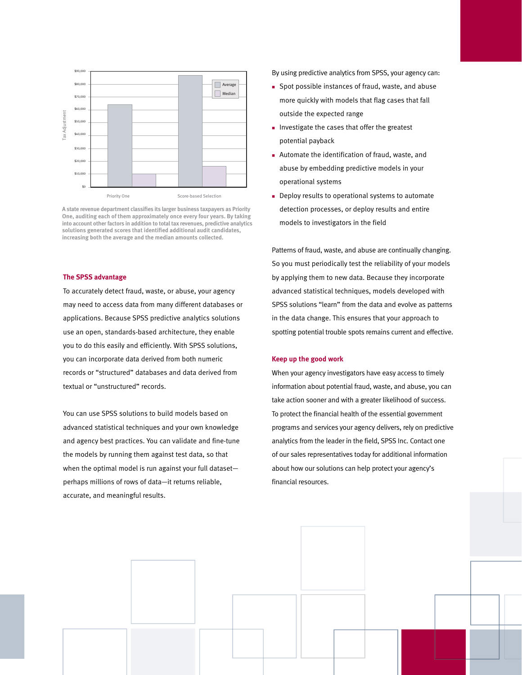

**A state revenue department classifies its larger business taxpayers as Priority One, auditing each of them approximately once every four years. By taking into account other factors in addition to total tax revenues, predictive analytics solutions generated scores that identified additional audit candidates, increasing both the average and the median amounts collected.**

#### **The SPSS advantage**

To accurately detect fraud, waste, or abuse, your agency may need to access data from many different databases or applications. Because SPSS predictive analytics solutions use an open, standards-based architecture, they enable you to do this easily and efficiently. With SPSS solutions, you can incorporate data derived from both numeric records or "structured" databases and data derived from textual or "unstructured" records.

You can use SPSS solutions to build models based on advanced statistical techniques and your own knowledge and agency best practices. You can validate and fine-tune the models by running them against test data, so that when the optimal model is run against your full dataset perhaps millions of rows of data—it returns reliable, accurate, and meaningful results.

By using predictive analytics from SPSS, your agency can:

- <sup>n</sup> Spot possible instances of fraud, waste, and abuse more quickly with models that flag cases that fall outside the expected range
- n Investigate the cases that offer the greatest potential payback
- n Automate the identification of fraud, waste, and abuse by embedding predictive models in your operational systems
- Deploy results to operational systems to automate detection processes, or deploy results and entire models to investigators in the field

Patterns of fraud, waste, and abuse are continually changing. So you must periodically test the reliability of your models by applying them to new data. Because they incorporate advanced statistical techniques, models developed with SPSS solutions "learn" from the data and evolve as patterns in the data change. This ensures that your approach to spotting potential trouble spots remains current and effective.

#### **Keep up the good work**

When your agency investigators have easy access to timely information about potential fraud, waste, and abuse, you can take action sooner and with a greater likelihood of success. To protect the financial health of the essential government programs and services your agency delivers, rely on predictive analytics from the leader in the field, SPSS Inc. Contact one of our sales representatives today for additional information about how our solutions can help protect your agency's financial resources.